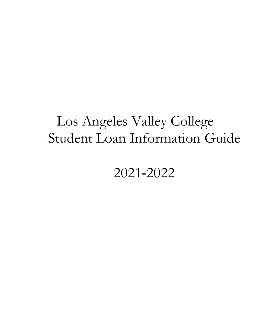# Los Angeles Valley College Student Loan Information Guide

2021‐2022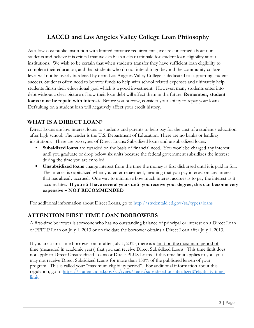# **LACCD and Los Angeles Valley College Loan Philosophy**

As a low‐cost public institution with limited entrance requirements, we are concerned about our students and believe it is critical that we establish a clear rationale for student loan eligibility at our institutions. We wish to be certain that when students transfer they have sufficient loan eligibility to complete their education, and that students who do not intend to go beyond the community college level will not be overly burdened by debt. Los Angeles Valley College is dedicated to supporting student success. Students often need to borrow funds to help with school related expenses and ultimately help students finish their educational goal which is a good investment. However, many students enter into debt without a clear picture of how their loan debt will affect them in the future. **Remember, student loans must be repaid with interest.** Before you borrow, consider your ability to repay your loans. Defaulting on a student loan will negatively affect your credit history.

## **WHAT IS A DIRECT LOAN?**

Direct Loans are low interest loans to students and parents to help pay for the cost of a student's education after high school. The lender is the U.S. Department of Education. There are no banks or lending institutions. There are two types of Direct Loans: Subsidized loans and unsubsidized loans.

- **Subsidized loans** are awarded on the basis of financial need. You won't be charged any interest until you graduate or drop below six units because the federal government subsidizes the interest during the time you are enrolled.
- **Unsubsidized loans** charge interest from the time the money is first disbursed until it is paid in full. The interest is capitalized when you enter repayment, meaning that you pay interest on any interest that has already accrued. One way to minimize how much interest accrues is to pay the interest as it accumulates. **If you still have several years until you receive your degree, this can become very expensive – NOT RECOMMENDED**

For additional information about Direct Loans, go to<http://studentaid.ed.gov/sa/types/loans>

#### **ATTENTION FIRST-TIME LOAN BORROWERS**

A first-time borrower is someone who has no outstanding balance of principal or interest on a Direct Loan or FFELP Loan on July 1, 2013 or on the date the borrower obtains a Direct Loan after July 1, 2013.

If you are a first-time borrower on or after July 1, 2013, there is a limit on the maximum period of time (measured in academic years) that you can receive Direct Subsidized Loans. This time limit does not apply to Direct Unsubsidized Loans or Direct PLUS Loans. If this time limit applies to you, you may not receive Direct Subsidized Loans for more than 150% of the published length of your program. This is called your "maximum eligibility period". For additional information about this regulation, go to [https://studentaid.ed.gov/sa/types/loans/subsidized-unsubsidized#eligibility-time](https://studentaid.ed.gov/sa/types/loans/subsidized-unsubsidized#eligibility-time-limit)[limit](https://studentaid.ed.gov/sa/types/loans/subsidized-unsubsidized#eligibility-time-limit)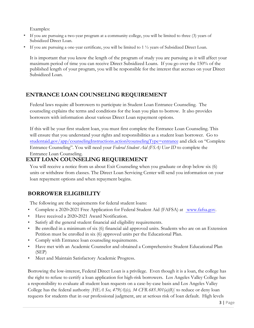Examples:

- If you are pursuing a two-year program at a community college, you will be limited to three (3) years of Subsidized Direct Loan.
- **If** you are pursuing a one-year certificate, you will be limited to  $1\frac{1}{2}$  years of Subsidized Direct Loan.

It is important that you know the length of the program of study you are pursuing as it will affect your maximum period of time you can receive Direct Subsidized Loans. If you go over the 150% of the published length of your program, you will be responsible for the interest that accrues on your Direct Subsidized Loan.

## **ENTRANCE LOAN COUNSELING REQUIREMENT**

Federal laws require all borrowers to participate in Student Loan Entrance Counseling. The counseling explains the terms and conditions for the loan you plan to borrow. It also provides borrowers with information about various Direct Loan repayment options.

If this will be your first student loan, you must first complete the Entrance Loan Counseling. This will ensure that you understand your rights and responsibilities as a student loan borrower. Go to studentaid.gov/app/counselingInstructions.action?counselingType=entrance and click on "Complete Entrance Counseling". You will need your *Federal Student Aid (FSA) User ID* to complete the Entrance Loan Counseling.

## **EXIT LOAN COUNSELING REQUIREMENT**

You will receive a notice from us about Exit Counseling when you graduate or drop below six (6) units or withdraw from classes. The Direct Loan Servicing Center will send you information on your loan repayment options and when repayment begins.

# **BORROWER ELIGIBILITY**

The following are the requirements for federal student loans:

- Complete a 2020‐2021 Free Application for Federal Student Aid (FAFSA) at www.fafsa.gov.
- Have received a 2020-2021 Award Notification.
- Satisfy all the general student financial aid eligibility requirements.
- Be enrolled in a minimum of six (6) financial aid approved units. Students who are on an Extension Petition must be enrolled in six (6) approved units per the Educational Plan.
- Comply with Entrance loan counseling requirements.
- Have met with an Academic Counselor and obtained a Comprehensive Student Educational Plan (SEP)
- Meet and Maintain Satisfactory Academic Progress.

Borrowing the low-interest, Federal Direct Loan is a privilege. Even though it is a loan, the college has the right to refuse to certify a loan application for high-risk borrowers. Los Angeles Valley College has a responsibility to evaluate all student loan requests on a case-by-case basis and Los Angeles Valley College has the federal authority *[HEA Sec, 479(A)(c), 34 CFR 685.301(a)(8)*] to reduce or deny loan requests for students that in our professional judgment, are at serious risk of loan default. High levels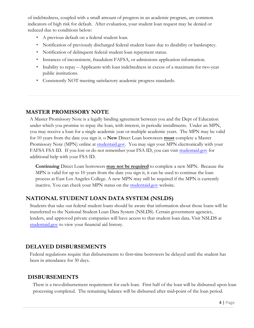of indebtedness, coupled with a small amount of progress in an academic program, are common indicators of high risk for default. After evaluation, your student loan request may be denied or reduced due to conditions below:

- A previous default on a federal student loan.
- Notification of previously discharged federal student loans due to disability or bankruptcy.
- Notification of delinquent federal student loan repayment status.
- Instances of inconsistent, fraudulent FAFSA, or admissions application information.
- Inability to repay Applicants with loan indebtedness in excess of a maximum for two-year public institutions.
- Consistently NOT meeting satisfactory academic progress standards.

#### **MASTER PROMISSORY NOTE**

A Master Promissory Note is a legally binding agreement between you and the Dept of Education under which you promise to repay the loan, with interest, in periodic installments. Under an MPN, you may receive a loan for a single academic year or multiple academic years. The MPN may be valid for 10 years from the date you sign it. o **New** Direct Loan borrowers **must** complete a Master Promissory Note (MPN) online at [student](www.studentaid.gov)aid.gov. You may sign your MPN electronically with your FAFSA FSA ID. If you lost or do not remember your FSA ID, you can visit studentaid.gov for additional help with your FSA ID.

**Continuing** Direct Loan borrowers **may not be required** to complete a new MPN. Because the MPN is valid for up to 10 years from the date you sign it, it can be used to continue the loan process at East Los Angeles College. A new MPN may still be required if the MPN is currently inactive. You can check your MPN status on the studentaid.gov website.

## **NATIONAL STUDENT LOAN DATA SYSTEM (NSLDS)**

Students that take out federal student loans should be aware that information about those loans will be transferred to the National Student Loan Data System (NSLDS). Certain government agencies, lenders, and approved private companies will have access to that student loan data. Visit NSLDS at studentaid.gov to view your financial aid history.

#### **DELAYED DISBURSEMENTS**

Federal regulations require that disbursements to first-time borrowers be delayed until the student has been in attendance for 30 days.

#### **DISBURSEMENTS**

There is a two-disbursement requirement for each loan. First half of the loan will be disbursed upon loan processing completed. The remaining balance will be disbursed after mid‐point of the loan period.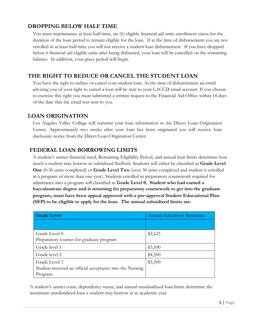### **DROPPING BELOW HALF TIME**

You must maintenance at least half‐time, six (6) eligible financial aid units enrollment status for the duration of the loan period to remain eligible for the loan. If at the time of disbursement you are not enrolled in at least half-time you will not receive a student loan disbursement. If you have dropped below 6 financial aid eligible units after being disbursed, your loan will be cancelled on the remaining balance. In addition, your grace period will begin.

## **THE RIGHT TO REDUCE OR CANCEL THE STUDENT LOAN**

You have the right to reduce or cancel your student loan. At the time of disbursement an email advising you of your right to cancel a loan will be sent to your LACCD email account. If you choose to exercise this right you must submitted a written request to the Financial Aid Office within 14 days of the date that the email was sent to you.

#### **LOAN ORIGINATION**

Los Angeles Valley College will transmit your loan information to the Direct Loan Origination Center. Approximately two weeks after your loan has been originated you will receive loan disclosure notice from the Direct Loan Origination Center.

#### **FEDERAL LOAN BORROWING LIMITS**

A student's unmet financial need, Remaining Eligibility Period, and annual loan limits determine how much a student may borrow in subsidized Stafford. Students will either be classified as **Grade Level One** (0-30 units completed) or **Grade Level Two** (over 30 units completed and student is enrolled in a program of more than one year). Students enrolled in preparatory coursework required for admittance into a program will classified as **Grade Level 0. Student who had earned a baccalaureate degree and is returning for preparatory coursework to get into the graduate program, must have been appeal approved with a pre‐approval Student Educational Plan (SEP) to be eligible to apply for the loan. The annual subsidized limits are:** 

| <b>Grade Level</b>                                       | Annual Subsidized Maximum |
|----------------------------------------------------------|---------------------------|
|                                                          |                           |
| Grade Level 0                                            | \$2,625                   |
| Preparatory courses for graduate program                 |                           |
| Grade level 1                                            | \$3,500                   |
| Grade level 2                                            | \$4,500                   |
| Grade Level 3                                            | \$5,500                   |
| Student received an official acceptance into the Nursing |                           |
| Program                                                  |                           |

A student's unmet costs, dependency status, and annual unsubsidized loan limits determine the maximum unsubsidized loan a student may borrow in in academic year.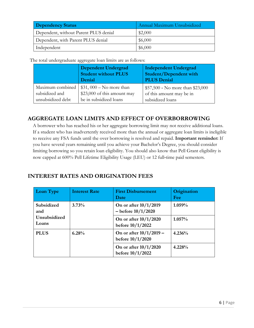| Dependency Status                     | Annual Maximum Unsubsidized |
|---------------------------------------|-----------------------------|
| Dependent, without Parent PLUS denial | \$2,000                     |
| Dependent, with Parent PLUS denial    | \$6,000                     |
| Independent                           | \$6,000                     |

The total undergraduate aggregate loan limits are as follows:

|                   | Dependent Undergrad<br><b>Student without PLUS</b><br>Denial | <b>Independent Undergrad</b><br><b>Student/Dependent with</b><br><b>PLUS Denial</b> |
|-------------------|--------------------------------------------------------------|-------------------------------------------------------------------------------------|
| Maximum combined  | $$31,000 - No$ more than                                     | \$57,500 - No more than \$23,000                                                    |
| subsidized and    | \$23,000 of this amount may                                  | of this amount may be in                                                            |
| unsubsidized debt | be in subsidized loans                                       | subsidized loans                                                                    |

## **AGGREGATE LOAN LIMITS AND EFFECT OF OVERBORROWING**

A borrower who has reached his or her aggregate borrowing limit may not receive additional loans. If a student who has inadvertently received more than the annual or aggregate loan limits is ineligible to receive any FSA funds until the over borrowing is resolved and repaid. **Important reminder:** If you have several years remaining until you achieve your Bachelor's Degree, you should consider limiting borrowing so you retain loan eligibility. You should also know that Pell Grant eligibility is now capped at 600% Pell Lifetime Eligibility Usage (LEU) or 12 full-time paid semesters.

## **INTEREST RATES AND ORIGINATION FEES**

| <b>Loan Type</b>      | <b>Interest Rate</b> | <b>First Disbursement</b><br>Date                 | Origination<br>Fee |
|-----------------------|----------------------|---------------------------------------------------|--------------------|
| Subsidized<br>and     | 3.73%                | On or after $10/1/2019$<br>$-$ before $10/1/2020$ | 1.059%             |
| Unsubsidized<br>Loans |                      | On or after $10/1/2020$<br>before $10/1/2022$     | $1.057\%$          |
| <b>PLUS</b>           | 6.28%                | On or after $10/1/2019$ –<br>before $10/1/2020$   | 4.236%             |
|                       |                      | On or after $10/1/2020$<br>before 10/1/2022       | 4.228%             |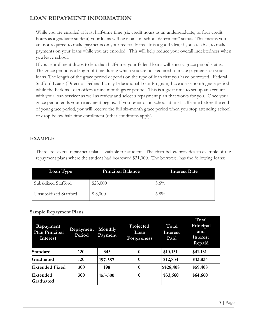## **LOAN REPAYMENT INFORMATION**

While you are enrolled at least half-time time (six credit hours as an undergraduate, or four credit hours as a graduate student) your loans will be in an "in school deferment" status. This means you are not required to make payments on your federal loans. It is a good idea, if you are able, to make payments on your loans while you are enrolled. This will help reduce your overall indebtedness when you leave school.

If your enrollment drops to less than half‐time, your federal loans will enter a grace period status. The grace period is a length of time during which you are not required to make payments on your loans. The length of the grace period depends on the type of loan that you have borrowed. Federal Stafford Loans (Direct or Federal Family Educational Loan Program) have a six-month grace period while the Perkins Loan offers a nine month grace period. This is a great time to set up an account with your loan servicer as well as review and select a repayment plan that works for you. Once your grace period ends your repayment begins. If you re‐enroll in school at least half‐time before the end of your grace period, you will receive the full six‐month grace period when you stop attending school or drop below half‐time enrollment (other conditions apply).

#### **EXAMPLE**

There are several repayment plans available for students. The chart below provides an example of the repayment plans where the student had borrowed \$31,000. The borrower has the following loans:

| Loan Type             | <b>Principal Balance</b> | <b>Interest Rate</b> |
|-----------------------|--------------------------|----------------------|
| Subsidized Stafford   | \$23,000                 | $5.6\%$              |
| Unsubsidized Stafford | \$8,000                  | $6.8\%$              |

#### **Sample Repayment Plans**

| Repayment<br><b>Plan Principal</b><br>Interest | Repayment<br>Period | Monthly<br>Payment | Projected<br>Loan<br><b>Forgiveness</b> | Total<br>Interest<br>Paid | Total<br>Principal<br>and<br>Interest<br>Repaid |
|------------------------------------------------|---------------------|--------------------|-----------------------------------------|---------------------------|-------------------------------------------------|
| Standard                                       | 120                 | 343                | $\boldsymbol{0}$                        | \$10,131                  | \$41,131                                        |
| Graduated                                      | 120                 | 197-587            | $\bf{0}$                                | \$12,834                  | \$43,834                                        |
| <b>Extended Fixed</b>                          | 300                 | 198                | $\boldsymbol{0}$                        | \$\$28,408                | \$59,408                                        |
| Extended<br>Graduated                          | 300                 | 153-300            | 0                                       | \$33,660                  | \$64,660                                        |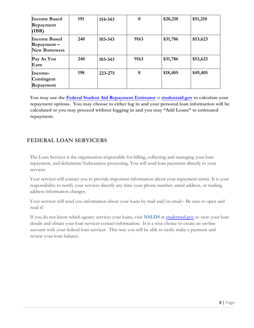| <b>Income Based</b><br>Repayment<br>(IBR)                    | 191 | 154-343 | $\boldsymbol{0}$ | \$20,210 | \$51,210 |
|--------------------------------------------------------------|-----|---------|------------------|----------|----------|
| <b>Income Based</b><br>$Repayment -$<br><b>New Borrowers</b> | 240 | 103-343 | 9163             | \$31,786 | \$53,623 |
| Pay As You<br>Earn                                           | 240 | 103-343 | 9163             | \$31,786 | \$53,623 |
| Income-<br>Contingent<br>Repayment                           | 198 | 223-275 | $\bf{0}$         | \$18,405 | \$49,405 |

**You may use the Federal Student Aid Repayment Estimator** at **studentaid.gov to calculate your repayment options. You may choose to either log in and your personal loan information will be calculated or you may proceed without logging in and you may "Add Loans" to estimated repayment.**

## **FEDERAL LOAN SERVICERS**

The Loan Servicer is the organization responsible for billing, collecting and managing your loan repayment, and deferment/forbearance processing. You will send loan payments directly to your servicer.

Your servicer will contact you to provide important information about your repayment terms. It is your responsibility to notify your servicer directly any time your phone number, email address, or mailing address information changes.

Your servicer will send you information about your loans by mail and/or email - Be sure to open and read it!

If you do not know which agency services your loans, visit **NSLDS** at studentaid.gov to view your loan details and obtain your loan servicer contact information. It is a wise choice to create an on‐line account with your federal loan servicer. This way you will be able to easily make a payment and review your loan balance.